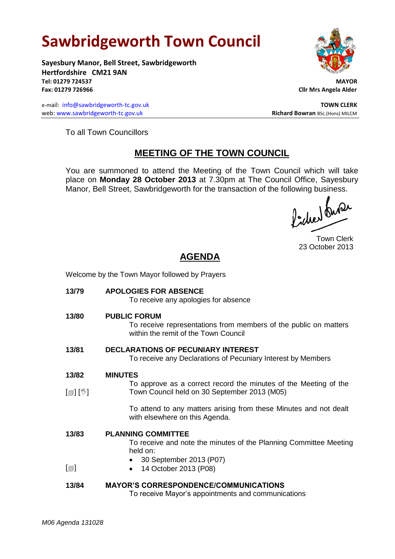# **Sawbridgeworth Town Council**

Welcome by the Town Mayor followed by Prayers

**Sayesbury Manor, Bell Street, Sawbridgeworth Hertfordshire CM21 9AN Tel: 01279 724537 MAYOR Fax: 01279 726966 Cllr Mrs Angela Alder**

e-mail: [info@sawbridgeworth-tc.gov.uk](mailto:info@sawbridgeworth-tc.gov.uk) **TOWN CLERK TOWN CLERK** web: www.sawbridgeworth-tc.gov.uk **Richard Bowran** BSc.(Hons) MILCM



To all Town Councillors

## **MEETING OF THE TOWN COUNCIL**

You are summoned to attend the Meeting of the Town Council which will take place on **Monday 28 October 2013** at 7.30pm at The Council Office, Sayesbury Manor, Bell Street, Sawbridgeworth for the transaction of the following business.<br>  $\int_1^1 \int_1^1 \int_0^1 \int_0^1 \int_0^1 \int_0^1 \int_0^1 \int_0^1 \int_0^1 \int_0^1 \int_0^1 \int_0^1 \int_0^1 \int_0^1 \int_0^1 \int_0^1 \int_0^1 \int_0^1 \int_0^1 \int_0^1 \int_0^1 \int_0^1 \int_0^$ 

Town Clerk 23 October 2013

## **AGENDA**

| 13/79                      | <b>APOLOGIES FOR ABSENCE</b><br>To receive any apologies for absence                                                            |
|----------------------------|---------------------------------------------------------------------------------------------------------------------------------|
| 13/80                      | <b>PUBLIC FORUM</b><br>To receive representations from members of the public on matters<br>within the remit of the Town Council |
| 13/81                      | <b>DECLARATIONS OF PECUNIARY INTEREST</b><br>To receive any Declarations of Pecuniary Interest by Members                       |
| 13/82                      | <b>MINUTES</b>                                                                                                                  |
| $\mathbb{D}[\mathbb{D}^1]$ | To approve as a correct record the minutes of the Meeting of the<br>Town Council held on 30 September 2013 (M05)                |
|                            | To attend to any matters arising from these Minutes and not dealt<br>with elsewhere on this Agenda.                             |
| 13/83                      | <b>PLANNING COMMITTEE</b>                                                                                                       |
|                            | To receive and note the minutes of the Planning Committee Meeting<br>held on:                                                   |
|                            | • 30 September 2013 (P07)                                                                                                       |
| $\lbrack \oplus \rbrack$   | 14 October 2013 (P08)<br>$\bullet$                                                                                              |
| 13/84                      | <b>MAYOR'S CORRESPONDENCE/COMMUNICATIONS</b><br>To receive Mayor's appointments and communications                              |